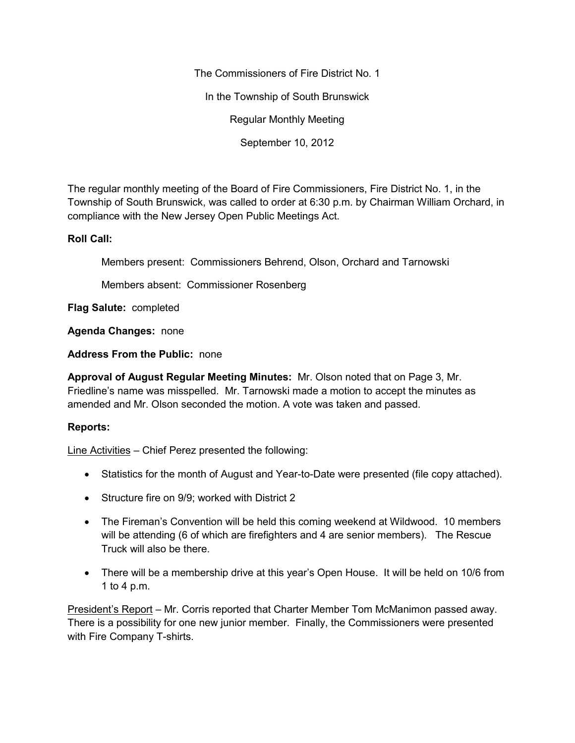The Commissioners of Fire District No. 1

In the Township of South Brunswick

Regular Monthly Meeting

September 10, 2012

The regular monthly meeting of the Board of Fire Commissioners, Fire District No. 1, in the Township of South Brunswick, was called to order at 6:30 p.m. by Chairman William Orchard, in compliance with the New Jersey Open Public Meetings Act.

## **Roll Call:**

Members present: Commissioners Behrend, Olson, Orchard and Tarnowski

Members absent: Commissioner Rosenberg

**Flag Salute:** completed

**Agenda Changes:** none

**Address From the Public:** none

**Approval of August Regular Meeting Minutes:** Mr. Olson noted that on Page 3, Mr. Friedline's name was misspelled. Mr. Tarnowski made a motion to accept the minutes as amended and Mr. Olson seconded the motion. A vote was taken and passed.

## **Reports:**

Line Activities – Chief Perez presented the following:

- Statistics for the month of August and Year-to-Date were presented (file copy attached).
- Structure fire on 9/9; worked with District 2
- The Fireman's Convention will be held this coming weekend at Wildwood. 10 members will be attending (6 of which are firefighters and 4 are senior members). The Rescue Truck will also be there.
- There will be a membership drive at this year's Open House. It will be held on 10/6 from 1 to 4 p.m.

President's Report – Mr. Corris reported that Charter Member Tom McManimon passed away. There is a possibility for one new junior member. Finally, the Commissioners were presented with Fire Company T-shirts.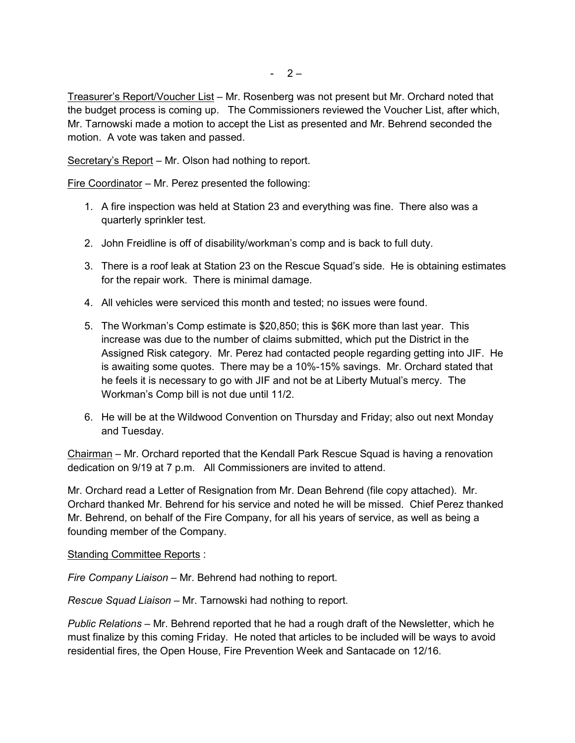Treasurer's Report/Voucher List – Mr. Rosenberg was not present but Mr. Orchard noted that the budget process is coming up. The Commissioners reviewed the Voucher List, after which, Mr. Tarnowski made a motion to accept the List as presented and Mr. Behrend seconded the motion. A vote was taken and passed.

Secretary's Report – Mr. Olson had nothing to report.

Fire Coordinator – Mr. Perez presented the following:

- 1. A fire inspection was held at Station 23 and everything was fine. There also was a quarterly sprinkler test.
- 2. John Freidline is off of disability/workman's comp and is back to full duty.
- 3. There is a roof leak at Station 23 on the Rescue Squad's side. He is obtaining estimates for the repair work. There is minimal damage.
- 4. All vehicles were serviced this month and tested; no issues were found.
- 5. The Workman's Comp estimate is \$20,850; this is \$6K more than last year. This increase was due to the number of claims submitted, which put the District in the Assigned Risk category. Mr. Perez had contacted people regarding getting into JIF. He is awaiting some quotes. There may be a 10%-15% savings. Mr. Orchard stated that he feels it is necessary to go with JIF and not be at Liberty Mutual's mercy. The Workman's Comp bill is not due until 11/2.
- 6. He will be at the Wildwood Convention on Thursday and Friday; also out next Monday and Tuesday.

Chairman – Mr. Orchard reported that the Kendall Park Rescue Squad is having a renovation dedication on 9/19 at 7 p.m. All Commissioners are invited to attend.

Mr. Orchard read a Letter of Resignation from Mr. Dean Behrend (file copy attached). Mr. Orchard thanked Mr. Behrend for his service and noted he will be missed. Chief Perez thanked Mr. Behrend, on behalf of the Fire Company, for all his years of service, as well as being a founding member of the Company.

Standing Committee Reports :

*Fire Company Liaison* – Mr. Behrend had nothing to report.

*Rescue Squad Liaison* – Mr. Tarnowski had nothing to report.

*Public Relations –* Mr. Behrend reported that he had a rough draft of the Newsletter, which he must finalize by this coming Friday. He noted that articles to be included will be ways to avoid residential fires, the Open House, Fire Prevention Week and Santacade on 12/16.